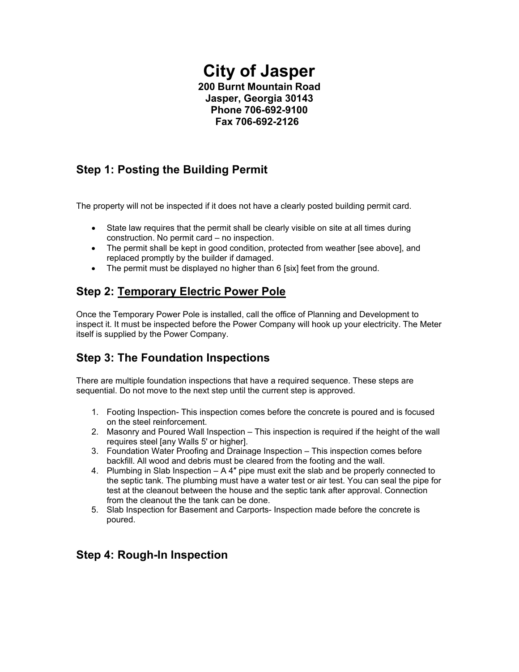## **City of Jasper 200 Burnt Mountain Road Jasper, Georgia 30143 Phone 706-692-9100 Fax 706-692-2126**

# **Step 1: Posting the Building Permit**

The property will not be inspected if it does not have a clearly posted building permit card.

- State law requires that the permit shall be clearly visible on site at all times during construction. No permit card – no inspection.
- The permit shall be kept in good condition, protected from weather [see above], and replaced promptly by the builder if damaged.
- The permit must be displayed no higher than 6 [six] feet from the ground.

# **Step 2: [Temporary](http://pickenscountyga.gov/government/wp-content/uploads/2009/07/temp_power.gif) Electric Power Pole**

Once the Temporary Power Pole is installed, call the office of Planning and Development to inspect it. It must be inspected before the Power Company will hook up your electricity. The Meter itself is supplied by the Power Company.

## **Step 3: The Foundation Inspections**

There are multiple foundation inspections that have a required sequence. These steps are sequential. Do not move to the next step until the current step is approved.

- 1. Footing Inspection- This inspection comes before the concrete is poured and is focused on the steel reinforcement.
- 2. Masonry and Poured Wall Inspection This inspection is required if the height of the wall requires steel [any Walls 5' or higher].
- 3. Foundation Water Proofing and Drainage Inspection This inspection comes before backfill. All wood and debris must be cleared from the footing and the wall.
- 4. Plumbing in Slab Inspection A 4″ pipe must exit the slab and be properly connected to the septic tank. The plumbing must have a water test or air test. You can seal the pipe for test at the cleanout between the house and the septic tank after approval. Connection from the cleanout the the tank can be done.
- 5. Slab Inspection for Basement and Carports- Inspection made before the concrete is poured.

## **Step 4: Rough-In Inspection**